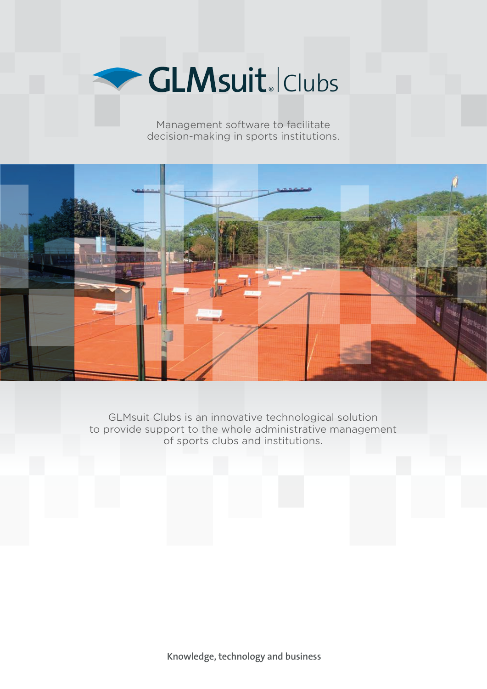

Management software to facilitate decision-making in sports institutions.



GLMsuit Clubs is an innovative technological solution to provide support to the whole administrative management of sports clubs and institutions.